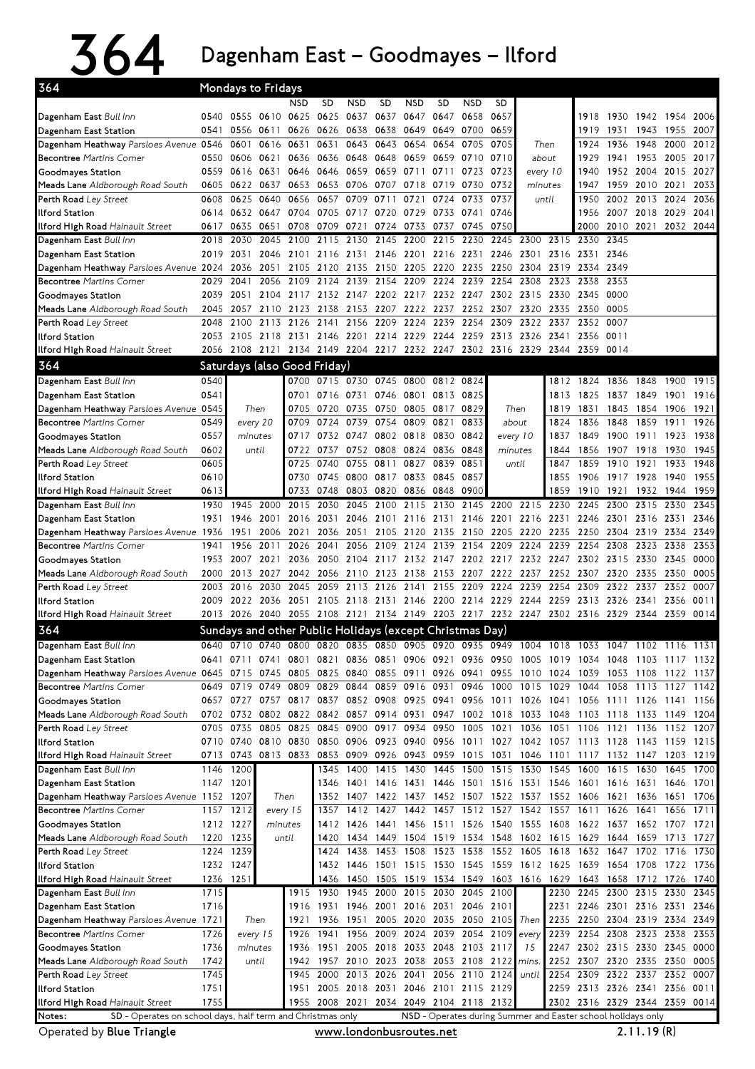## 364 DagenhamEast–Goodmayes–Ilford

| 364                                                                  |              | <b>Mondays to Fridays</b> |              |                                                             |                         |                                            |                     |                             |              |                     |                     |                   |                                                                                           |                   |                               |                |              |              |
|----------------------------------------------------------------------|--------------|---------------------------|--------------|-------------------------------------------------------------|-------------------------|--------------------------------------------|---------------------|-----------------------------|--------------|---------------------|---------------------|-------------------|-------------------------------------------------------------------------------------------|-------------------|-------------------------------|----------------|--------------|--------------|
|                                                                      |              |                           |              | NSD                                                         | SD.                     | <b>NSD</b>                                 | <b>SD</b>           | <b>NSD</b>                  | SD           | <b>NSD</b>          | <b>SD</b>           |                   |                                                                                           |                   |                               |                |              |              |
| Dagenham East Bull Inn                                               | 0540         | 0555                      |              | 0610 0625                                                   | 0625                    | 0637                                       | 0637                | 0647                        | 0647         | 0658                | 0657                |                   |                                                                                           | 1918              | 1930                          | 1942           | 1954         | 2006         |
| Dagenham East Station                                                | 0541         |                           |              | 0556 0611 0626                                              | 0626 0638 0638          |                                            |                     | 0649                        | 0649         | 0700                | 0659                |                   |                                                                                           | 1919              | 1931                          | 1943           | 1955         | 2007         |
| Dagenham Heathway Parsloes Avenue 0546                               |              | 0601                      |              | 0616 0631                                                   | 0631                    | 0643 0643                                  |                     | 0654                        | 0654         | 0705                | 0705                |                   | Then                                                                                      | 1924              | 1936                          | 1948           | 2000         | 2012         |
| <b>Becontree Martins Corner</b>                                      | 0550         | 0606                      | 0621         | 0636                                                        |                         | 0636 0648 0648                             |                     | 0659                        | 0659         | 0710                | 0710                |                   | about                                                                                     | 1929              | 1941                          | 1953           | 2005         | 2017         |
| Goodmayes Station                                                    | 0559         | 0616                      | 0631         | 0646                                                        | 0646                    | 0659                                       | 0659                | 0711                        | 0711         | 0723                | 0723                | every 10          |                                                                                           | 1940              | 1952 2004                     |                | 2015         | 2027         |
| Meads Lane Aldborough Road South                                     | 0605         | 0622                      | 0637         | 0653<br>0656                                                | 0653                    | 0706 0707                                  | 0711                | 0718                        | 0719         | 0730                | 0732<br>0737        |                   | minutes                                                                                   | 1947              |                               | 1959 2010      | 2021         | 2033<br>2036 |
| Perth Road Ley Street<br><b>Ilford Station</b>                       | 0608<br>0614 | 0625<br>0632              | 0640<br>0647 | 0704                                                        | 0657<br>0705            | 0709<br>0717                               | 0720                | 0721<br>0729                | 0724<br>0733 | 0733<br>0741        | 0746                | until             |                                                                                           | 1950<br>1956      | 2002 2013<br>2007 2018        |                | 2024<br>2029 | 2041         |
| Ilford High Road Hainault Street                                     | 0617         | 0635                      | 0651         | 0708                                                        | 0709                    | 0721                                       | 0724                | 0733                        | 0737         | 0745                | 0750                |                   |                                                                                           | 2000              | 2010 2021                     |                | 2032 2044    |              |
| Dagenham East Bull Inn                                               | 2018         | 2030                      | 2045         | 2100                                                        | 2115                    | 2130                                       | 2145                | 2200                        | 2215         | 2230                | 2245                | 2300              | 2315                                                                                      | 2330              | 2345                          |                |              |              |
| Dagenham East Station                                                | 2019         | 2031                      | 2046         | 2101                                                        | 2116                    | 2131                                       | 2146                | 2201                        |              | 2216 2231           | 2246                | 2301              | 2316                                                                                      | 2331              | 2346                          |                |              |              |
| Dagenham Heathway Parsloes Avenue 2024                               |              | 2036                      | 2051         | 2105                                                        | 2120                    | 2135                                       | 2150                | 2205 2220                   |              | 2235                | 2250                | 2304              | 2319                                                                                      | 2334              | 2349                          |                |              |              |
| <b>Becontree Martins Corner</b>                                      | 2029         | 2041                      | 2056         | 2109                                                        | 2124                    | 2139                                       | 2154                | 2209                        | 2224         | 2239                | 2254                | 2308              | 2323                                                                                      | 2338              | 2353                          |                |              |              |
| Goodmayes Station                                                    | 2039         | 2051                      |              | 2104 2117 2132 2147 2202 2217 2232 2247 2302 2315 2330      |                         |                                            |                     |                             |              |                     |                     |                   |                                                                                           | 2345              | 0000                          |                |              |              |
| Meads Lane Aldborough Road South                                     | 2045         | 2057                      |              | 2110 2123                                                   | 2138                    | 2153                                       | 2207                | 2222                        | 2237         | 2252                | 2307                | 2320              | 2335                                                                                      | 2350              | 0005                          |                |              |              |
| Perth Road Ley Street                                                | 2048         | 2100                      |              | 2113 2126                                                   | 2141                    | 2156                                       | 2209                | 2224                        | 2239         | 2254                | 2309                | 2322              | 2337                                                                                      | 2352              | 0007                          |                |              |              |
| <b>Ilford Station</b>                                                | 2053         | 2105                      |              | 2118 2131                                                   |                         | 2146 2201                                  | 2214 2229           |                             | 2244         | 2259                | 2313                | 2326              | 2341                                                                                      | 2356              | 0011                          |                |              |              |
| Ilford High Road Hainault Street                                     | 2056         |                           |              | 2108 2121 2134 2149 2204 2217 2232 2247 2302 2316 2329 2344 |                         |                                            |                     |                             |              |                     |                     |                   |                                                                                           | 2359              | 0014                          |                |              |              |
| 364                                                                  |              |                           |              | Saturdays (also Good Friday)                                |                         |                                            |                     |                             |              |                     |                     |                   |                                                                                           |                   |                               |                |              |              |
| Dagenham East Bull Inn                                               | 0540         |                           |              | 0700                                                        | 0715 0730 0745          |                                            |                     | 0800 0812 0824              |              |                     |                     |                   | 1812                                                                                      | 1824              | 1836                          | 1848           | 1900         | 1915         |
| Dagenham East Station<br>Dagenham Heathway Parsloes Avenue 0545      | 0541         |                           |              | 0701<br>0705                                                |                         | 0716 0731<br>0735 0750                     | 0746                | 0801<br>0805 0817           | 0813         | 0825                |                     |                   | 1813                                                                                      | 1825              | 1837                          | 1849           | 1901         | 1916         |
| <b>Becontree Martins Corner</b>                                      | 0549         | Then                      |              | 0709                                                        | 0720<br>0724            | 0739 0754                                  |                     | 0809                        | 0821         | 0829<br>0833        | Then<br>about       |                   | 1819<br>1824                                                                              | 1831<br>1836      | 1843<br>1848                  | 1854<br>1859   | 1906<br>1911 | 1921<br>1926 |
| Goodmayes Station                                                    | 0557         | every 20<br>minutes       |              | 0717                                                        | 0732                    | 0747                                       | 0802                | 0818                        | 0830         | 0842                | every 10            |                   | 1837                                                                                      | 1849              | 1900 1911                     |                | 1923         | 1938         |
| <b>Meads Lane</b> Aldborough Road South                              | 0602         |                           | until        | 0722                                                        | 0737                    | 0752 0808                                  |                     | 0824 0836                   |              | 0848                | minutes             |                   | 1844                                                                                      | 1856              | 1907                          | 1918           | 1930         | 1945         |
| Perth Road Ley Street                                                | 0605         |                           |              | 0725                                                        | 0740                    | 0755                                       | 0811                | 0827                        | 0839         | 0851                | until               |                   | 1847                                                                                      | 1859              | 1910                          | 1921           | 1933         | 1948         |
| <b>Ilford Station</b>                                                | 0610         |                           |              | 0730                                                        | 0745                    | 0800 0817                                  |                     | 0833                        | 0845         | 0857                |                     |                   | 1855                                                                                      | 1906              | 1917 1928                     |                | 1940         | 1955         |
| Ilford High Road Hainault Street                                     | 0613         |                           |              | 0733                                                        | 0748                    | 0803 0820                                  |                     | 0836 0848                   |              | 0900                |                     |                   | 1859                                                                                      | 1910              | 1921                          | 1932           | 1944         | 1959         |
| Dagenham East Bull Inn                                               | 1930         | 1945                      | 2000         | 2015                                                        | 2030                    | 2045                                       | 2100                | 2115                        | 2130         | 2145                | 2200                | 2215              | 2230                                                                                      | 2245              | 2300                          | 2315           | 2330         | 2345         |
| Dagenham East Station                                                | 1931         | 1946                      | 2001         | 2016                                                        | 2031                    | 2046                                       | 2101                | 2116                        | 2131         | 2146                | 2201                | 2216 2231         |                                                                                           | 2246              | 2301                          | 2316           | 2331         | 2346         |
| Dagenham Heathway Parsloes Avenue 1936                               |              | 1951                      | 2006         | 2021                                                        | 2036                    | 2051                                       | 2105                | 2120                        | 2135         | 2150                | 2205                | 2220              | 2235                                                                                      | 2250              | 2304 2319                     |                | 2334         | 2349         |
| <b>Becontree Martins Corner</b>                                      | 1941         | 1956                      | 2011         | 2026                                                        | 2041                    | 2056                                       | 2109                | 2124                        | 2139         | 2154                | 2209                | 2224              | 2239                                                                                      | 2254              | 2308                          | 2323           | 2338         | 2353         |
| Goodmayes Station                                                    | 1953         | 2007                      | 2021         | 2036                                                        | 2050                    | 2104 2117                                  |                     | 2132 2147                   |              |                     | 2202 2217           |                   | 2232 2247                                                                                 |                   | 2302 2315 2330                |                | 2345         | 0000         |
| Meads Lane Aldborough Road South                                     | 2000         | 2013                      | 2027<br>2030 | 2042<br>2045                                                | 2056<br>2059            | 2110 2123                                  |                     | 2138                        | 2153<br>2155 | 2207 2222<br>2209   | 2224                | 2237              | 2252<br>2254                                                                              | 2307              | 2320 2335<br>2322 2337        |                | 2350         | 0005<br>0007 |
| Perth Road Ley Street<br><b>Ilford Station</b>                       | 2003<br>2009 | 2016<br>2022              |              | 2036 2051                                                   |                         | 2113<br>2105 2118 2131 2146 2200 2214 2229 | 2126                | 2141                        |              |                     |                     | 2239<br>2244 2259 |                                                                                           | 2309<br>2313      | 2326 2341                     |                | 2352<br>2356 | 0011         |
| Ilford High Road Hainault Street                                     |              |                           |              |                                                             |                         |                                            |                     |                             |              |                     |                     |                   | 2013 2026 2040 2055 2108 2121 2134 2149 2203 2217 2232 2247 2302 2316 2329 2344           |                   |                               |                | 2359 0014    |              |
| 364                                                                  |              |                           |              | Sundays and other Public Holidays (except Christmas Day)    |                         |                                            |                     |                             |              |                     |                     |                   |                                                                                           |                   |                               |                |              |              |
| Dagenham East Bull Inn                                               |              |                           |              |                                                             |                         |                                            |                     |                             |              |                     |                     |                   | 0640 0710 0740 0800 0820 0835 0850 0905 0920 0935 0949 1004 1018 1033 1047 1102 1116 1131 |                   |                               |                |              |              |
| Dagenham East Station                                                |              | 0641 0711 0741 0801       |              |                                                             | 0821                    |                                            |                     |                             |              |                     |                     |                   | 0836 0851 0906 0921 0936 0950 1005 1019 1034 1048 1103 1117 1132                          |                   |                               |                |              |              |
| Dagenham Heathway Parsloes Avenue 0645                               |              | 0715                      | 0745 0805    |                                                             |                         |                                            |                     |                             |              |                     |                     |                   | 0825 0840 0855 0911 0926 0941 0955 1010 1024 1039                                         |                   | 1053 1108 1122 1137           |                |              |              |
| <b>Becontree Martins Corner</b>                                      | 0649         | 0719                      |              | 0749 0809                                                   |                         | 0829 0844 0859 0916 0931 0946              |                     |                             |              |                     | 1000                |                   | 1015 1029 1044                                                                            |                   | 1058                          | 1113           | 1127         | 1142         |
| Goodmayes Station                                                    |              | 0657 0727                 |              | 0757 0817 0837 0852 0908                                    |                         |                                            |                     | 0925 0941                   |              |                     |                     |                   | 0956 1011 1026 1041 1056 1111 1126 1141                                                   |                   |                               |                |              | 1156         |
| Meads Lane Aldborough Road South                                     | 0702         | 0732                      |              | 0802 0822                                                   | 0842                    | 0857                                       | 0914                | 0931                        | 0947         |                     | 1002 1018           | 1033 1048         |                                                                                           | 1103              | 1118 1133                     |                | 1149         | 1204         |
| Perth Road Ley Street                                                | 0705         | 0735                      |              | 0805 0825                                                   | 0845                    | 0900 0917                                  |                     | 0934                        | 0950         | 1005                | 1021                | 1036              | 1051                                                                                      | 1106              | 1121                          | 1136           | 1152 1207    |              |
| <b>Ilford Station</b>                                                |              | 0710 0740                 |              | 0810 0830                                                   |                         | 0850 0906 0923                             |                     |                             |              |                     |                     |                   | 0940 0956 1011 1027 1042 1057 1113 1128 1143 1159 1215                                    |                   |                               |                |              |              |
| Ilford High Road Hainault Street                                     | 0713         | 0743                      |              | 0813 0833                                                   |                         |                                            |                     |                             |              |                     |                     |                   | 0853 0909 0926 0943 0959 1015 1031 1046 1101 1117 1132 1147 1203 1219                     |                   |                               |                |              |              |
| Dagenham East Bull Inn                                               | 1146         | 1200                      |              |                                                             | 1345                    | 1400 1415                                  |                     | 1430                        | 1445         |                     | 1500 1515 1530 1545 |                   |                                                                                           | 1600              | 1615 1630                     |                | 1645         | 1700         |
| Dagenham East Station<br>Dagenham Heathway Parsloes Avenue 1152 1207 |              | 1147 1201                 |              | Then                                                        | 1346                    | 1401 1416                                  | 1422                | 1431                        | 1446         |                     |                     |                   | 1501 1516 1531 1546 1601                                                                  |                   | 1616 1631                     |                | 1646         | 1701         |
| <b>Becontree Martins Corner</b>                                      |              | 1157 1212                 |              | every 15                                                    | 1352<br>1357            | 1407<br>1412                               | 1427                | 1442 1457                   |              |                     |                     |                   | 1437 1452 1507 1522 1537 1552 1606<br>1512 1527 1542 1557 1611                            |                   | 1621<br>1626                  | 1636<br>1641   | 1651<br>1656 | 1706<br>1711 |
| Goodmayes Station                                                    |              | 1212 1227                 |              | minutes                                                     | 1412                    | 1426                                       | 1441                | 1456 1511                   |              | 1526                | 1540                | 1555 1608         |                                                                                           | 1622              | 1637                          | 1652 1707      |              | 1721         |
| Meads Lane Aldborough Road South                                     | 1220         | 1235                      |              | until                                                       | 1420                    | 1434                                       | 1449                | 1504 1519 1534 1548         |              |                     |                     | 1602 1615         |                                                                                           | 1629              | 1644                          | 1659           | 1713         | 1727         |
| Perth Road Ley Street                                                | 1224         | 1239                      |              |                                                             | 1424                    | 1438                                       | 1453                | 1508                        | 1523         | 1538                | 1552                | 1605 1618         |                                                                                           | 1632              | 1647                          | 1702           | 1716         | 1730         |
| <b>Ilford Station</b>                                                |              | 1232 1247                 |              |                                                             |                         |                                            |                     |                             |              |                     |                     |                   | 1432 1446 1501 1515 1530 1545 1559 1612 1625 1639 1654 1708 1722 1736                     |                   |                               |                |              |              |
| <b>Ilford High Road Hainault Street</b>                              |              | 1236 1251                 |              |                                                             | 1436                    |                                            |                     |                             |              |                     |                     |                   | 1450 1505 1519 1534 1549 1603 1616 1629 1643 1658 1712 1726 1740                          |                   |                               |                |              |              |
| Dagenham East Bull Inn                                               | 1715         |                           |              | 1915                                                        | 1930                    | 1945                                       | 2000                |                             |              | 2015 2030 2045 2100 |                     |                   |                                                                                           | 2230 2245         | 2300 2315                     |                | 2330         | 2345         |
| Dagenham East Station                                                | 1716         |                           |              | 1916                                                        | 1931                    | 1946 2001                                  |                     | 2016 2031                   |              | 2046 2101           |                     |                   | 2231                                                                                      |                   | 2246 2301 2316 2331           |                |              | 2346         |
| Dagenham Heathway Parsloes Avenue 1721                               |              |                           | Then         | 1921                                                        | 1936                    | 1951                                       | 2005                | 2020 2035 2050 2105         |              |                     |                     |                   | Then 2235                                                                                 | 2250              | 2304 2319 2334                |                |              | 2349         |
| <b>Becontree Martins Corner</b>                                      | 1726         | every 15                  |              | 1926                                                        | 1941                    |                                            | 1956 2009 2024 2039 |                             |              | 2054 2109           |                     | every             | 2239                                                                                      | 2254              |                               | 2308 2323 2338 |              | 2353         |
| Goodmayes Station                                                    | 1736         | minutes                   |              | 1936                                                        | 1951                    | 2005 2018                                  |                     | 2033 2048 2103 2117         |              |                     |                     | 15                | 2247                                                                                      |                   | 2302 2315 2330 2345           |                |              | 0000         |
| Meads Lane Aldborough Road South<br>Perth Road Ley Street            | 1742<br>1745 |                           | until        | 1942<br>1945                                                | 1957<br>2000            | 2010 2023<br>2013 2026                     |                     | 2038 2053 2108 2122<br>2041 |              | 2056 2110 2124      |                     | mins.<br>until    | 2254                                                                                      | 2252 2307<br>2309 | 2320 2335 2350<br>2322 2337   |                | 2352         | 0005<br>0007 |
| <b>Ilford Station</b>                                                | 1751         |                           |              | 1951                                                        |                         | 2005 2018 2031 2046 2101 2115 2129         |                     |                             |              |                     |                     |                   |                                                                                           |                   | 2259 2313 2326 2341 2356 0011 |                |              |              |
| <b>Ilford High Road Hainault Street</b>                              | 1755         |                           |              | 1955                                                        |                         | 2008 2021 2034 2049 2104 2118 2132         |                     |                             |              |                     |                     |                   |                                                                                           |                   | 2302 2316 2329 2344 2359 0014 |                |              |              |
| Notes:<br>SD - Operates on school days, half term and Christmas only |              |                           |              |                                                             |                         |                                            |                     |                             |              |                     |                     |                   | NSD - Operates during Summer and Easter school holidays only                              |                   |                               |                |              |              |
| Operated by Blue Triangle                                            |              |                           |              |                                                             | www.londonbusroutes.net |                                            |                     |                             |              |                     |                     |                   |                                                                                           |                   |                               | 2.11.19(R)     |              |              |